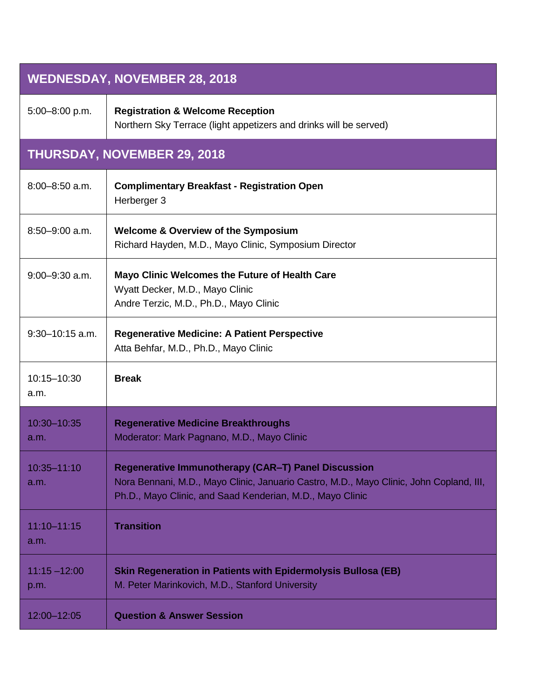| <b>WEDNESDAY, NOVEMBER 28, 2018</b> |                                                                                                                                                                                                             |
|-------------------------------------|-------------------------------------------------------------------------------------------------------------------------------------------------------------------------------------------------------------|
| 5:00-8:00 p.m.                      | <b>Registration &amp; Welcome Reception</b><br>Northern Sky Terrace (light appetizers and drinks will be served)                                                                                            |
|                                     | <b>THURSDAY, NOVEMBER 29, 2018</b>                                                                                                                                                                          |
| $8:00 - 8:50$ a.m.                  | <b>Complimentary Breakfast - Registration Open</b><br>Herberger 3                                                                                                                                           |
| $8:50 - 9:00$ a.m.                  | <b>Welcome &amp; Overview of the Symposium</b><br>Richard Hayden, M.D., Mayo Clinic, Symposium Director                                                                                                     |
| $9:00 - 9:30$ a.m.                  | Mayo Clinic Welcomes the Future of Health Care<br>Wyatt Decker, M.D., Mayo Clinic<br>Andre Terzic, M.D., Ph.D., Mayo Clinic                                                                                 |
| $9:30 - 10:15$ a.m.                 | <b>Regenerative Medicine: A Patient Perspective</b><br>Atta Behfar, M.D., Ph.D., Mayo Clinic                                                                                                                |
| 10:15-10:30<br>a.m.                 | <b>Break</b>                                                                                                                                                                                                |
| 10:30-10:35<br>a.m.                 | <b>Regenerative Medicine Breakthroughs</b><br>Moderator: Mark Pagnano, M.D., Mayo Clinic                                                                                                                    |
| 10:35-11:10<br>a.m.                 | Regenerative Immunotherapy (CAR-T) Panel Discussion<br>Nora Bennani, M.D., Mayo Clinic, Januario Castro, M.D., Mayo Clinic, John Copland, III,<br>Ph.D., Mayo Clinic, and Saad Kenderian, M.D., Mayo Clinic |
| 11:10-11:15<br>a.m.                 | <b>Transition</b>                                                                                                                                                                                           |
| $11:15 - 12:00$<br>p.m.             | <b>Skin Regeneration in Patients with Epidermolysis Bullosa (EB)</b><br>M. Peter Marinkovich, M.D., Stanford University                                                                                     |
| 12:00-12:05                         | <b>Question &amp; Answer Session</b>                                                                                                                                                                        |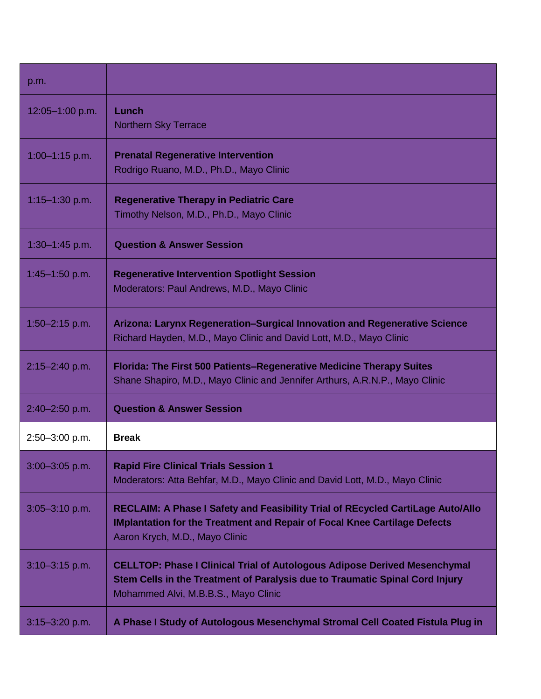| p.m.                |                                                                                                                                                                                                          |
|---------------------|----------------------------------------------------------------------------------------------------------------------------------------------------------------------------------------------------------|
| $12:05 - 1:00$ p.m. | Lunch<br><b>Northern Sky Terrace</b>                                                                                                                                                                     |
| $1:00 - 1:15$ p.m.  | <b>Prenatal Regenerative Intervention</b><br>Rodrigo Ruano, M.D., Ph.D., Mayo Clinic                                                                                                                     |
| $1:15 - 1:30$ p.m.  | <b>Regenerative Therapy in Pediatric Care</b><br>Timothy Nelson, M.D., Ph.D., Mayo Clinic                                                                                                                |
| $1:30 - 1:45$ p.m.  | <b>Question &amp; Answer Session</b>                                                                                                                                                                     |
| $1:45 - 1:50$ p.m.  | <b>Regenerative Intervention Spotlight Session</b><br>Moderators: Paul Andrews, M.D., Mayo Clinic                                                                                                        |
| $1:50 - 2:15$ p.m.  | Arizona: Larynx Regeneration–Surgical Innovation and Regenerative Science<br>Richard Hayden, M.D., Mayo Clinic and David Lott, M.D., Mayo Clinic                                                         |
| $2:15 - 2:40$ p.m.  | <b>Florida: The First 500 Patients–Regenerative Medicine Therapy Suites</b><br>Shane Shapiro, M.D., Mayo Clinic and Jennifer Arthurs, A.R.N.P., Mayo Clinic                                              |
| $2:40 - 2:50$ p.m.  | <b>Question &amp; Answer Session</b>                                                                                                                                                                     |
| 2:50-3:00 p.m.      | <b>Break</b>                                                                                                                                                                                             |
| $3:00 - 3:05$ p.m.  | <b>Rapid Fire Clinical Trials Session 1</b><br>Moderators: Atta Behfar, M.D., Mayo Clinic and David Lott, M.D., Mayo Clinic                                                                              |
| $3:05 - 3:10$ p.m.  | RECLAIM: A Phase I Safety and Feasibility Trial of REcycled CartiLage Auto/Allo<br><b>IMplantation for the Treatment and Repair of Focal Knee Cartilage Defects</b><br>Aaron Krych, M.D., Mayo Clinic    |
| $3:10-3:15$ p.m.    | <b>CELLTOP: Phase I Clinical Trial of Autologous Adipose Derived Mesenchymal</b><br>Stem Cells in the Treatment of Paralysis due to Traumatic Spinal Cord Injury<br>Mohammed Alvi, M.B.B.S., Mayo Clinic |
| $3:15 - 3:20$ p.m.  | A Phase I Study of Autologous Mesenchymal Stromal Cell Coated Fistula Plug in                                                                                                                            |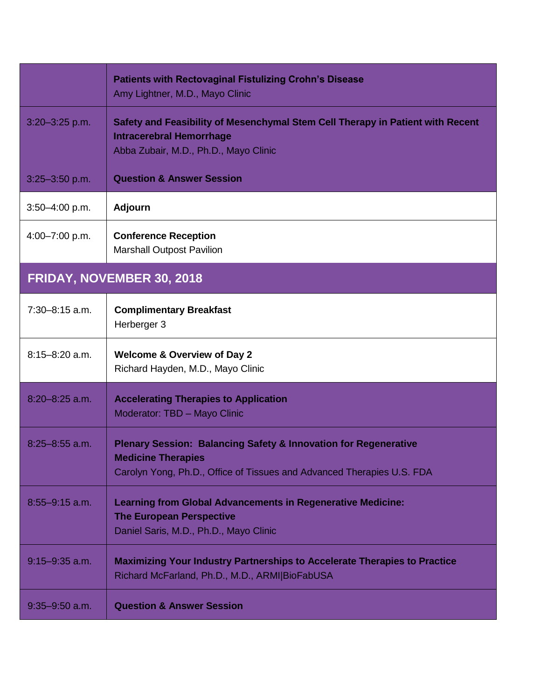|                           | <b>Patients with Rectovaginal Fistulizing Crohn's Disease</b><br>Amy Lightner, M.D., Mayo Clinic                                                                                  |
|---------------------------|-----------------------------------------------------------------------------------------------------------------------------------------------------------------------------------|
| $3:20 - 3:25$ p.m.        | Safety and Feasibility of Mesenchymal Stem Cell Therapy in Patient with Recent<br><b>Intracerebral Hemorrhage</b><br>Abba Zubair, M.D., Ph.D., Mayo Clinic                        |
| $3:25 - 3:50$ p.m.        | <b>Question &amp; Answer Session</b>                                                                                                                                              |
| $3:50 - 4:00$ p.m.        | <b>Adjourn</b>                                                                                                                                                                    |
| 4:00-7:00 p.m.            | <b>Conference Reception</b><br><b>Marshall Outpost Pavilion</b>                                                                                                                   |
| FRIDAY, NOVEMBER 30, 2018 |                                                                                                                                                                                   |
| $7:30-8:15$ a.m.          | <b>Complimentary Breakfast</b><br>Herberger 3                                                                                                                                     |
| $8:15 - 8:20$ a.m.        | <b>Welcome &amp; Overview of Day 2</b><br>Richard Hayden, M.D., Mayo Clinic                                                                                                       |
| $8:20 - 8:25$ a.m.        | <b>Accelerating Therapies to Application</b><br>Moderator: TBD - Mayo Clinic                                                                                                      |
| $8:25 - 8:55$ a.m.        | <b>Plenary Session: Balancing Safety &amp; Innovation for Regenerative</b><br><b>Medicine Therapies</b><br>Carolyn Yong, Ph.D., Office of Tissues and Advanced Therapies U.S. FDA |
| $8:55 - 9:15$ a.m.        | <b>Learning from Global Advancements in Regenerative Medicine:</b><br><b>The European Perspective</b><br>Daniel Saris, M.D., Ph.D., Mayo Clinic                                   |
| $9:15 - 9:35$ a.m.        | <b>Maximizing Your Industry Partnerships to Accelerate Therapies to Practice</b><br>Richard McFarland, Ph.D., M.D., ARMI BioFabUSA                                                |
| $9:35 - 9:50$ a.m.        | <b>Question &amp; Answer Session</b>                                                                                                                                              |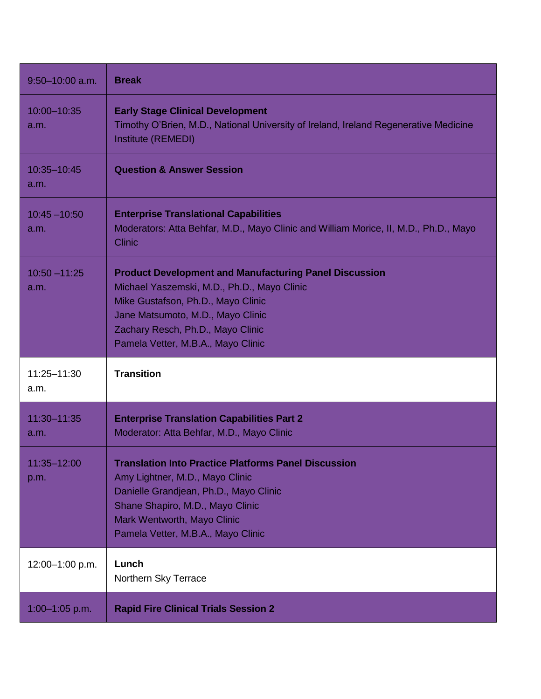| $9:50 - 10:00$ a.m.     | <b>Break</b>                                                                                                                                                                                                                                                       |
|-------------------------|--------------------------------------------------------------------------------------------------------------------------------------------------------------------------------------------------------------------------------------------------------------------|
| 10:00-10:35<br>a.m.     | <b>Early Stage Clinical Development</b><br>Timothy O'Brien, M.D., National University of Ireland, Ireland Regenerative Medicine<br>Institute (REMEDI)                                                                                                              |
| 10:35-10:45<br>a.m.     | <b>Question &amp; Answer Session</b>                                                                                                                                                                                                                               |
| $10:45 - 10:50$<br>a.m. | <b>Enterprise Translational Capabilities</b><br>Moderators: Atta Behfar, M.D., Mayo Clinic and William Morice, II, M.D., Ph.D., Mayo<br><b>Clinic</b>                                                                                                              |
| $10:50 - 11:25$<br>a.m. | <b>Product Development and Manufacturing Panel Discussion</b><br>Michael Yaszemski, M.D., Ph.D., Mayo Clinic<br>Mike Gustafson, Ph.D., Mayo Clinic<br>Jane Matsumoto, M.D., Mayo Clinic<br>Zachary Resch, Ph.D., Mayo Clinic<br>Pamela Vetter, M.B.A., Mayo Clinic |
|                         |                                                                                                                                                                                                                                                                    |
| 11:25-11:30<br>a.m.     | <b>Transition</b>                                                                                                                                                                                                                                                  |
| 11:30-11:35<br>a.m.     | <b>Enterprise Translation Capabilities Part 2</b><br>Moderator: Atta Behfar, M.D., Mayo Clinic                                                                                                                                                                     |
| 11:35–12:00<br>p.m.     | <b>Translation Into Practice Platforms Panel Discussion</b><br>Amy Lightner, M.D., Mayo Clinic<br>Danielle Grandjean, Ph.D., Mayo Clinic<br>Shane Shapiro, M.D., Mayo Clinic<br>Mark Wentworth, Mayo Clinic<br>Pamela Vetter, M.B.A., Mayo Clinic                  |
| 12:00-1:00 p.m.         | Lunch<br>Northern Sky Terrace                                                                                                                                                                                                                                      |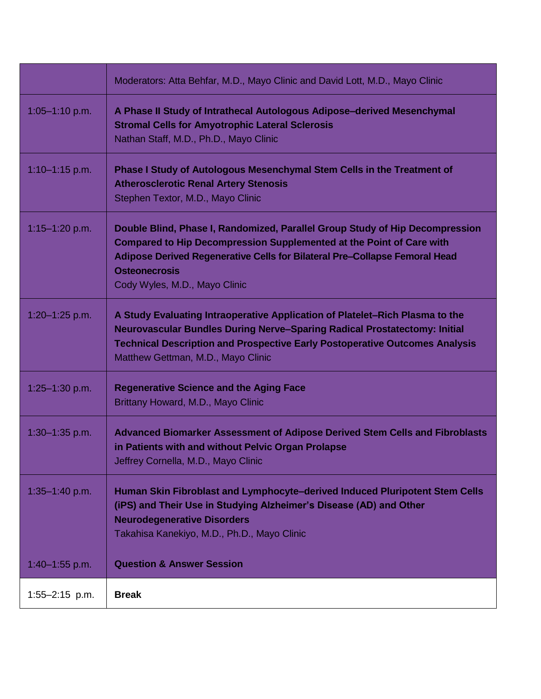|                    | Moderators: Atta Behfar, M.D., Mayo Clinic and David Lott, M.D., Mayo Clinic                                                                                                                                                                                                                       |
|--------------------|----------------------------------------------------------------------------------------------------------------------------------------------------------------------------------------------------------------------------------------------------------------------------------------------------|
| 1:05-1:10 p.m.     | A Phase II Study of Intrathecal Autologous Adipose-derived Mesenchymal<br><b>Stromal Cells for Amyotrophic Lateral Sclerosis</b><br>Nathan Staff, M.D., Ph.D., Mayo Clinic                                                                                                                         |
| $1:10-1:15$ p.m.   | Phase I Study of Autologous Mesenchymal Stem Cells in the Treatment of<br><b>Atherosclerotic Renal Artery Stenosis</b><br>Stephen Textor, M.D., Mayo Clinic                                                                                                                                        |
| $1:15 - 1:20$ p.m. | Double Blind, Phase I, Randomized, Parallel Group Study of Hip Decompression<br><b>Compared to Hip Decompression Supplemented at the Point of Care with</b><br>Adipose Derived Regenerative Cells for Bilateral Pre-Collapse Femoral Head<br><b>Osteonecrosis</b><br>Cody Wyles, M.D., Mayo Clinic |
| 1:20-1:25 p.m.     | A Study Evaluating Intraoperative Application of Platelet–Rich Plasma to the<br><b>Neurovascular Bundles During Nerve-Sparing Radical Prostatectomy: Initial</b><br><b>Technical Description and Prospective Early Postoperative Outcomes Analysis</b><br>Matthew Gettman, M.D., Mayo Clinic       |
| 1:25-1:30 p.m.     | <b>Regenerative Science and the Aging Face</b><br>Brittany Howard, M.D., Mayo Clinic                                                                                                                                                                                                               |
| $1:30 - 1:35$ p.m. | Advanced Biomarker Assessment of Adipose Derived Stem Cells and Fibroblasts<br>in Patients with and without Pelvic Organ Prolapse<br>Jeffrey Cornella, M.D., Mayo Clinic                                                                                                                           |
| $1:35 - 1:40$ p.m. | Human Skin Fibroblast and Lymphocyte-derived Induced Pluripotent Stem Cells<br>(iPS) and Their Use in Studying Alzheimer's Disease (AD) and Other<br><b>Neurodegenerative Disorders</b><br>Takahisa Kanekiyo, M.D., Ph.D., Mayo Clinic                                                             |
| $1:40 - 1:55$ p.m. | <b>Question &amp; Answer Session</b>                                                                                                                                                                                                                                                               |
| $1:55 - 2:15$ p.m. | <b>Break</b>                                                                                                                                                                                                                                                                                       |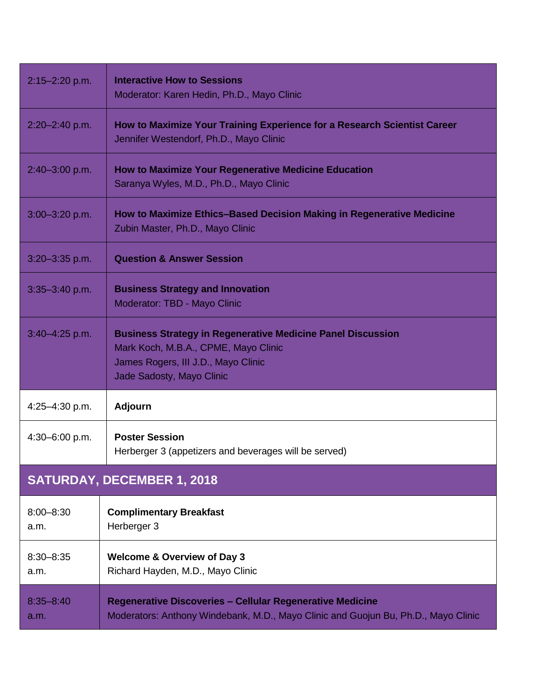| 2:15-2:20 p.m.                    | <b>Interactive How to Sessions</b><br>Moderator: Karen Hedin, Ph.D., Mayo Clinic                                                                                               |
|-----------------------------------|--------------------------------------------------------------------------------------------------------------------------------------------------------------------------------|
| $2:20 - 2:40$ p.m.                | How to Maximize Your Training Experience for a Research Scientist Career<br>Jennifer Westendorf, Ph.D., Mayo Clinic                                                            |
| 2:40-3:00 p.m.                    | <b>How to Maximize Your Regenerative Medicine Education</b><br>Saranya Wyles, M.D., Ph.D., Mayo Clinic                                                                         |
| $3:00 - 3:20$ p.m.                | How to Maximize Ethics-Based Decision Making in Regenerative Medicine<br>Zubin Master, Ph.D., Mayo Clinic                                                                      |
| $3:20 - 3:35$ p.m.                | <b>Question &amp; Answer Session</b>                                                                                                                                           |
| $3:35 - 3:40$ p.m.                | <b>Business Strategy and Innovation</b><br>Moderator: TBD - Mayo Clinic                                                                                                        |
| $3:40 - 4:25$ p.m.                | <b>Business Strategy in Regenerative Medicine Panel Discussion</b><br>Mark Koch, M.B.A., CPME, Mayo Clinic<br>James Rogers, III J.D., Mayo Clinic<br>Jade Sadosty, Mayo Clinic |
| 4:25-4:30 p.m.                    | <b>Adjourn</b>                                                                                                                                                                 |
| 4:30-6:00 p.m.                    | <b>Poster Session</b><br>Herberger 3 (appetizers and beverages will be served)                                                                                                 |
| <b>SATURDAY, DECEMBER 1, 2018</b> |                                                                                                                                                                                |
| $8:00 - 8:30$<br>a.m.             | <b>Complimentary Breakfast</b><br>Herberger 3                                                                                                                                  |
| $8:30 - 8:35$<br>a.m.             | <b>Welcome &amp; Overview of Day 3</b><br>Richard Hayden, M.D., Mayo Clinic                                                                                                    |
| $8:35 - 8:40$<br>a.m.             | <b>Regenerative Discoveries - Cellular Regenerative Medicine</b><br>Moderators: Anthony Windebank, M.D., Mayo Clinic and Guojun Bu, Ph.D., Mayo Clinic                         |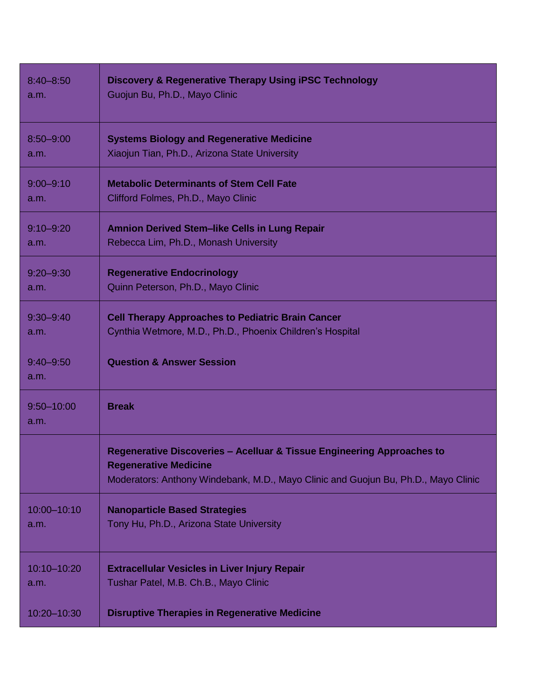| $8:40 - 8:50$          | <b>Discovery &amp; Regenerative Therapy Using iPSC Technology</b>                                                                                                                            |
|------------------------|----------------------------------------------------------------------------------------------------------------------------------------------------------------------------------------------|
| a.m.                   | Guojun Bu, Ph.D., Mayo Clinic                                                                                                                                                                |
| $8:50 - 9:00$          | <b>Systems Biology and Regenerative Medicine</b>                                                                                                                                             |
| a.m.                   | Xiaojun Tian, Ph.D., Arizona State University                                                                                                                                                |
| $9:00 - 9:10$          | <b>Metabolic Determinants of Stem Cell Fate</b>                                                                                                                                              |
| a.m.                   | Clifford Folmes, Ph.D., Mayo Clinic                                                                                                                                                          |
| $9:10 - 9:20$          | <b>Amnion Derived Stem-like Cells in Lung Repair</b>                                                                                                                                         |
| a.m.                   | Rebecca Lim, Ph.D., Monash University                                                                                                                                                        |
| $9:20 - 9:30$          | <b>Regenerative Endocrinology</b>                                                                                                                                                            |
| a.m.                   | Quinn Peterson, Ph.D., Mayo Clinic                                                                                                                                                           |
| $9:30 - 9:40$          | <b>Cell Therapy Approaches to Pediatric Brain Cancer</b>                                                                                                                                     |
| a.m.                   | Cynthia Wetmore, M.D., Ph.D., Phoenix Children's Hospital                                                                                                                                    |
| $9:40 - 9:50$<br>a.m.  | <b>Question &amp; Answer Session</b>                                                                                                                                                         |
| $9:50 - 10:00$<br>a.m. | <b>Break</b>                                                                                                                                                                                 |
|                        | Regenerative Discoveries - Acelluar & Tissue Engineering Approaches to<br><b>Regenerative Medicine</b><br>Moderators: Anthony Windebank, M.D., Mayo Clinic and Guojun Bu, Ph.D., Mayo Clinic |
| 10:00-10:10            | <b>Nanoparticle Based Strategies</b>                                                                                                                                                         |
| a.m.                   | Tony Hu, Ph.D., Arizona State University                                                                                                                                                     |
| 10:10-10:20            | <b>Extracellular Vesicles in Liver Injury Repair</b>                                                                                                                                         |
| a.m.                   | Tushar Patel, M.B. Ch.B., Mayo Clinic                                                                                                                                                        |
| 10:20-10:30            | <b>Disruptive Therapies in Regenerative Medicine</b>                                                                                                                                         |